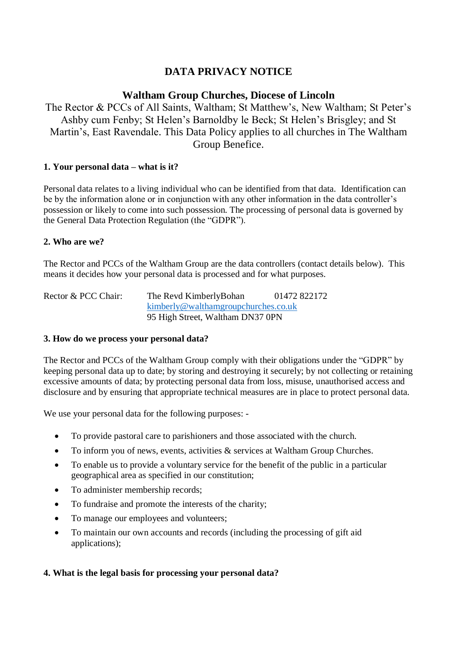# **DATA PRIVACY NOTICE**

# **Waltham Group Churches, Diocese of Lincoln**

The Rector & PCCs of All Saints, Waltham; St Matthew's, New Waltham; St Peter's Ashby cum Fenby; St Helen's Barnoldby le Beck; St Helen's Brisgley; and St Martin's, East Ravendale. This Data Policy applies to all churches in The Waltham Group Benefice.

## **1. Your personal data – what is it?**

Personal data relates to a living individual who can be identified from that data. Identification can be by the information alone or in conjunction with any other information in the data controller's possession or likely to come into such possession. The processing of personal data is governed by the General Data Protection Regulation (the "GDPR").

## **2. Who are we?**

The Rector and PCCs of the Waltham Group are the data controllers (contact details below). This means it decides how your personal data is processed and for what purposes.

Rector & PCC Chair: The Revd KimberlyBohan 01472 822172 [kimberly@walthamgroupchurches.co.uk](mailto:kimberly@walthamgroupchurches.co.uk) 95 High Street, Waltham DN37 0PN

## **3. How do we process your personal data?**

The Rector and PCCs of the Waltham Group comply with their obligations under the "GDPR" by keeping personal data up to date; by storing and destroying it securely; by not collecting or retaining excessive amounts of data; by protecting personal data from loss, misuse, unauthorised access and disclosure and by ensuring that appropriate technical measures are in place to protect personal data.

We use your personal data for the following purposes: -

- To provide pastoral care to parishioners and those associated with the church.
- To inform you of news, events, activities  $\&$  services at Waltham Group Churches.
- To enable us to provide a voluntary service for the benefit of the public in a particular geographical area as specified in our constitution;
- To administer membership records;
- To fundraise and promote the interests of the charity;
- To manage our employees and volunteers;
- To maintain our own accounts and records (including the processing of gift aid applications);

# **4. What is the legal basis for processing your personal data?**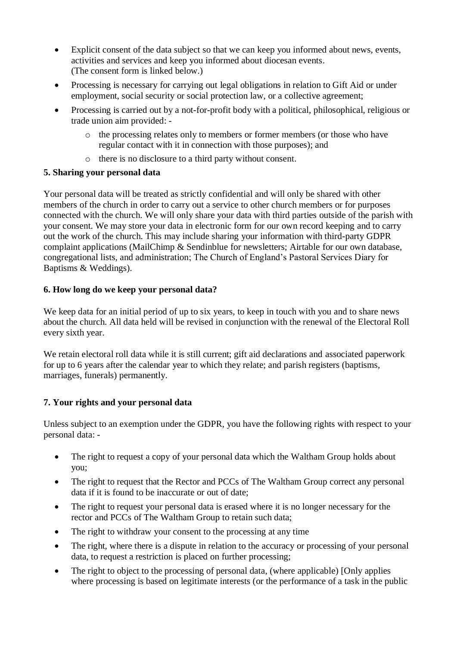- Explicit consent of the data subject so that we can keep you informed about news, events, activities and services and keep you informed about diocesan events. (The consent form is linked below.)
- Processing is necessary for carrying out legal obligations in relation to Gift Aid or under employment, social security or social protection law, or a collective agreement;
- Processing is carried out by a not-for-profit body with a political, philosophical, religious or trade union aim provided:
	- o the processing relates only to members or former members (or those who have regular contact with it in connection with those purposes); and
	- o there is no disclosure to a third party without consent.

## **5. Sharing your personal data**

Your personal data will be treated as strictly confidential and will only be shared with other members of the church in order to carry out a service to other church members or for purposes connected with the church. We will only share your data with third parties outside of the parish with your consent. We may store your data in electronic form for our own record keeping and to carry out the work of the church. This may include sharing your information with third-party GDPR complaint applications (MailChimp & Sendinblue for newsletters; Airtable for our own database, congregational lists, and administration; The Church of England's Pastoral Services Diary for Baptisms & Weddings).

## **6. How long do we keep your personal data?**

We keep data for an initial period of up to six years, to keep in touch with you and to share news about the church. All data held will be revised in conjunction with the renewal of the Electoral Roll every sixth year.

We retain electoral roll data while it is still current; gift aid declarations and associated paperwork for up to 6 years after the calendar year to which they relate; and parish registers (baptisms, marriages, funerals) permanently.

# **7. Your rights and your personal data**

Unless subject to an exemption under the GDPR, you have the following rights with respect to your personal data: -

- The right to request a copy of your personal data which the Waltham Group holds about you;
- The right to request that the Rector and PCCs of The Waltham Group correct any personal data if it is found to be inaccurate or out of date;
- The right to request your personal data is erased where it is no longer necessary for the rector and PCCs of The Waltham Group to retain such data;
- The right to withdraw your consent to the processing at any time
- The right, where there is a dispute in relation to the accuracy or processing of your personal data, to request a restriction is placed on further processing;
- The right to object to the processing of personal data, (where applicable) [Only applies where processing is based on legitimate interests (or the performance of a task in the public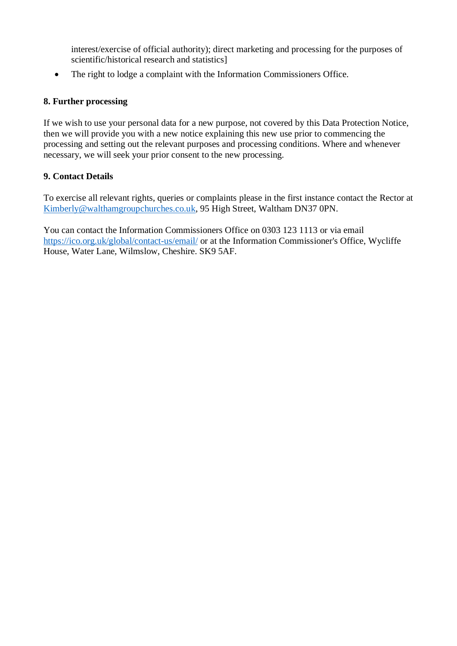interest/exercise of official authority); direct marketing and processing for the purposes of scientific/historical research and statistics]

• The right to lodge a complaint with the Information Commissioners Office.

## **8. Further processing**

If we wish to use your personal data for a new purpose, not covered by this Data Protection Notice, then we will provide you with a new notice explaining this new use prior to commencing the processing and setting out the relevant purposes and processing conditions. Where and whenever necessary, we will seek your prior consent to the new processing.

## **9. Contact Details**

To exercise all relevant rights, queries or complaints please in the first instance contact the Rector at [Kimberly@walthamgroupchurches.co.uk,](mailto:Kimberly@walthamgroupchurches.co.uk) 95 High Street, Waltham DN37 0PN.

You can contact the Information Commissioners Office on 0303 123 1113 or via email <https://ico.org.uk/global/contact-us/email/> or at the Information Commissioner's Office, Wycliffe House, Water Lane, Wilmslow, Cheshire. SK9 5AF.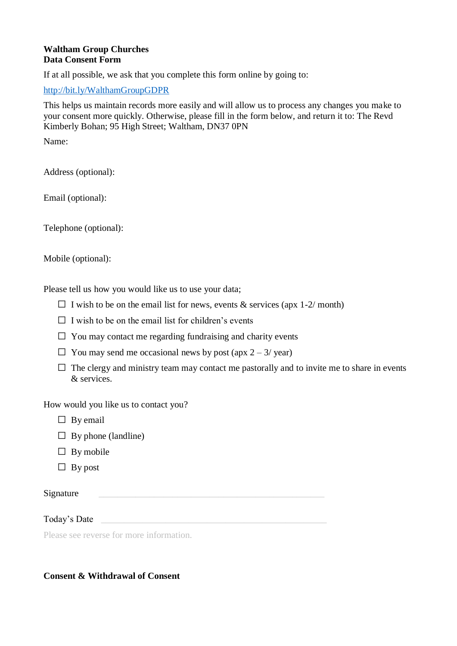#### **Waltham Group Churches Data Consent Form**

If at all possible, we ask that you complete this form online by going to:

<http://bit.ly/WalthamGroupGDPR>

This helps us maintain records more easily and will allow us to process any changes you make to your consent more quickly. Otherwise, please fill in the form below, and return it to: The Revd Kimberly Bohan; 95 High Street; Waltham, DN37 0PN

Name:

Address (optional):

Email (optional):

Telephone (optional):

Mobile (optional):

Please tell us how you would like us to use your data;

- I wish to be on the email list for news, events  $&$  services (apx 1-2/ month)
- I wish to be on the email list for children's events
- You may contact me regarding fundraising and charity events
- You may send me occasional news by post  $(\text{apx } 2 3/\text{ year})$
- The clergy and ministry team may contact me pastorally and to invite me to share in events & services.

How would you like us to contact you?

- By email
- By phone (landline)
- By mobile
- By post

Signature  $\Box$ 

Today's Date

Please see reverse for more information.

## **Consent & Withdrawal of Consent**